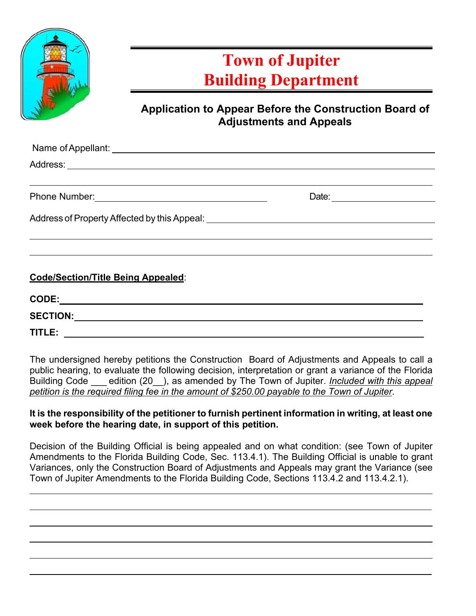

# **Town of Jupiter Building Department**

### **Application to Appear Before the Construction Board of Adjustments and Appeals**

|                                                                                                    | Date: __________________ |  |
|----------------------------------------------------------------------------------------------------|--------------------------|--|
| Address of Property Affected by this Appeal: National Address of Property Affected by this Appeal: |                          |  |
|                                                                                                    |                          |  |
|                                                                                                    |                          |  |

#### **Code/Section/Title Being Appealed**:

| CODE:           |  |  |
|-----------------|--|--|
| <b>SECTION:</b> |  |  |
| TITLE:          |  |  |

The undersigned hereby petitions the Construction Board of Adjustments and Appeals to call a public hearing, to evaluate the following decision, interpretation or grant a variance of the Florida Building Code \_\_\_ edition (20\_\_), as amended by The Town of Jupiter. *Included with this appeal petition is the required filing fee in the amount of \$250.00 payable to the Town of Jupiter*.

#### **It is the responsibility of the petitioner to furnish pertinent information in writing, at least one week before the hearing date, in support of this petition.**

Decision of the Building Official is being appealed and on what condition: (see Town of Jupiter Amendments to the Florida Building Code, Sec. 113.4.1). The Building Official is unable to grant Variances, only the Construction Board of Adjustments and Appeals may grant the Variance (see Town of Jupiter Amendments to the Florida Building Code, Sections 113.4.2 and 113.4.2.1).